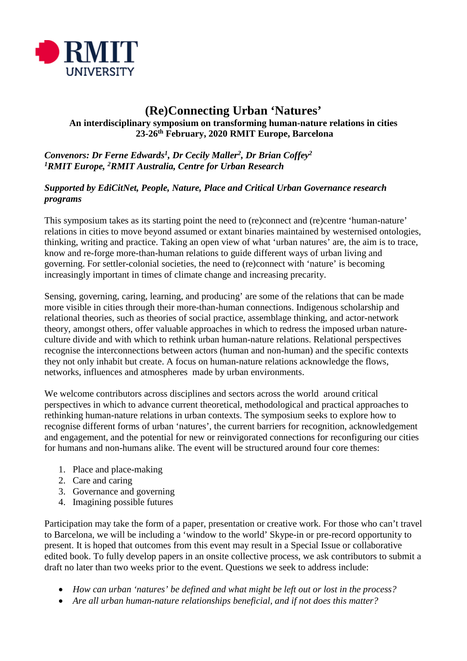

# **(Re)Connecting Urban 'Natures' An interdisciplinary symposium on transforming human-nature relations in cities 23-26th February, 2020 RMIT Europe, Barcelona**

## *Convenors: Dr Ferne Edwards1, Dr Cecily Maller2, Dr Brian Coffey2 1RMIT Europe, 2RMIT Australia, Centre for Urban Research*

#### *Supported by EdiCitNet, People, Nature, Place and Critical Urban Governance research programs*

This symposium takes as its starting point the need to (re)connect and (re)centre 'human-nature' relations in cities to move beyond assumed or extant binaries maintained by westernised ontologies, thinking, writing and practice. Taking an open view of what 'urban natures' are, the aim is to trace, know and re-forge more-than-human relations to guide different ways of urban living and governing. For settler-colonial societies, the need to (re)connect with 'nature' is becoming increasingly important in times of climate change and increasing precarity.

Sensing, governing, caring, learning, and producing' are some of the relations that can be made more visible in cities through their more-than-human connections. Indigenous scholarship and relational theories, such as theories of social practice, assemblage thinking, and actor-network theory, amongst others, offer valuable approaches in which to redress the imposed urban natureculture divide and with which to rethink urban human-nature relations. Relational perspectives recognise the interconnections between actors (human and non-human) and the specific contexts they not only inhabit but create. A focus on human-nature relations acknowledge the flows, networks, influences and atmospheres made by urban environments.

We welcome contributors across disciplines and sectors across the world around critical perspectives in which to advance current theoretical, methodological and practical approaches to rethinking human-nature relations in urban contexts. The symposium seeks to explore how to recognise different forms of urban 'natures', the current barriers for recognition, acknowledgement and engagement, and the potential for new or reinvigorated connections for reconfiguring our cities for humans and non-humans alike. The event will be structured around four core themes:

- 1. Place and place-making
- 2. Care and caring
- 3. Governance and governing
- 4. Imagining possible futures

Participation may take the form of a paper, presentation or creative work. For those who can't travel to Barcelona, we will be including a 'window to the world' Skype-in or pre-record opportunity to present. It is hoped that outcomes from this event may result in a Special Issue or collaborative edited book. To fully develop papers in an onsite collective process, we ask contributors to submit a draft no later than two weeks prior to the event. Questions we seek to address include:

- *How can urban 'natures' be defined and what might be left out or lost in the process?*
- *Are all urban human-nature relationships beneficial, and if not does this matter?*